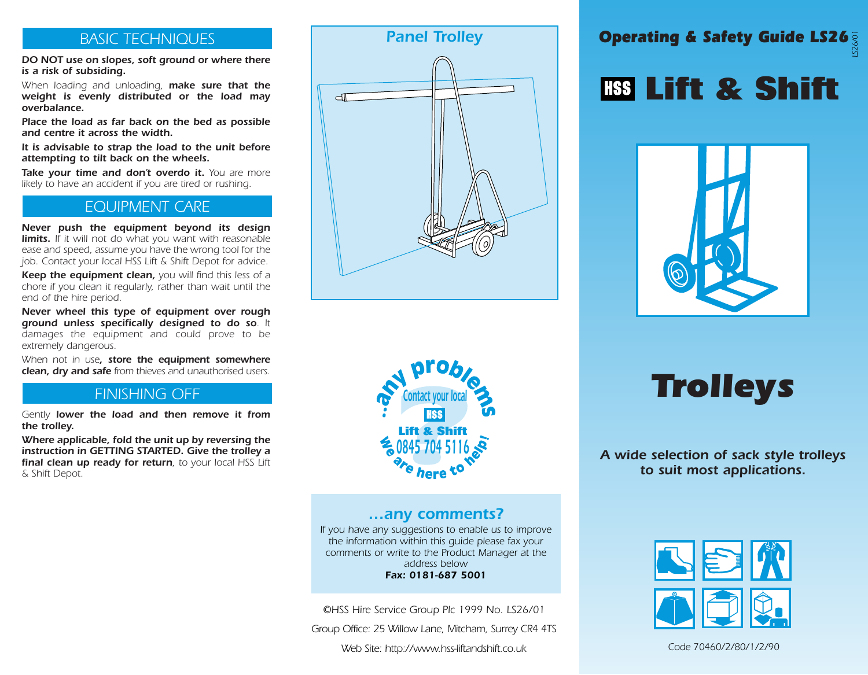#### *BASIC TECHNIQUES*

*DO NOT use on slopes, soft ground or where there is a risk of subsiding.* 

*When loading and unloading, make sure that the weight is evenly distributed or the load may overbalance.*

*Place the load as far back on the bed as possible and centre it across the width.*

*It is advisable to strap the load to the unit before attempting to tilt back on the wheels.*

*Take your time and don't overdo it. You are more likely to have an accident if you are tired or rushing.*

#### *EQUIPMENT CARE*

*Never push the equipment beyond its design limits. If it will not do what you want with reasonable ease and speed, assume you have the wrong tool for the job. Contact your local HSS Lift & Shift Depot for advice.*

*Keep the equipment clean, you will find this less of a chore if you clean it regularly, rather than wait until the end of the hire period.*

*Never wheel this type of equipment over rough ground unless specifically designed to do so. It damages the equipment and could prove to be extremely dangerous.*

*When not in use, store the equipment somewhere clean, dry and safe from thieves and unauthorised users.*

#### *FINISHING OFF*

*Gently lower the load and then remove it from the trolley.*

*Where applicable, fold the unit up by reversing the instruction in GETTING STARTED. Give the trolley a final clean up ready for return, to your local HSS Lift & Shift Depot.*





## **Lift & Shift**



*Trolleys*

*A wide selection of sack style trolleys to suit most applications.*



*Code 70460/2/80/1/2/90*



#### *…any comments?*

*If you have any suggestions to enable us to improve the information within this guide please fax your comments or write to the Product Manager at the address below Fax: 0181-687 5001*

*©HSS Hire Service Group Plc 1999 No. LS26/01*

*Group Office: 25 Willow Lane, Mitcham, Surrey CR4 4TS*

*Web Site: http://www.hss-liftandshift.co.uk*